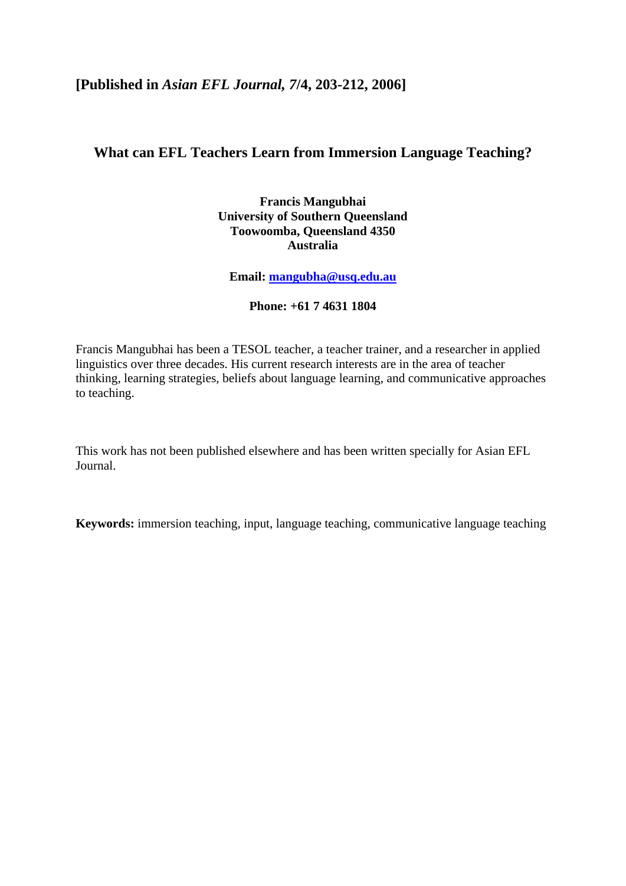# **[Published in** *Asian EFL Journal, 7***/4, 203-212, 2006]**

# **What can EFL Teachers Learn from Immersion Language Teaching?**

**Francis Mangubhai University of Southern Queensland Toowoomba, Queensland 4350 Australia** 

**Email: [mangubha@usq.edu.au](mailto:mangubha@usq.edu.au)**

**Phone: +61 7 4631 1804** 

Francis Mangubhai has been a TESOL teacher, a teacher trainer, and a researcher in applied linguistics over three decades. His current research interests are in the area of teacher thinking, learning strategies, beliefs about language learning, and communicative approaches to teaching.

This work has not been published elsewhere and has been written specially for Asian EFL Journal.

**Keywords:** immersion teaching, input, language teaching, communicative language teaching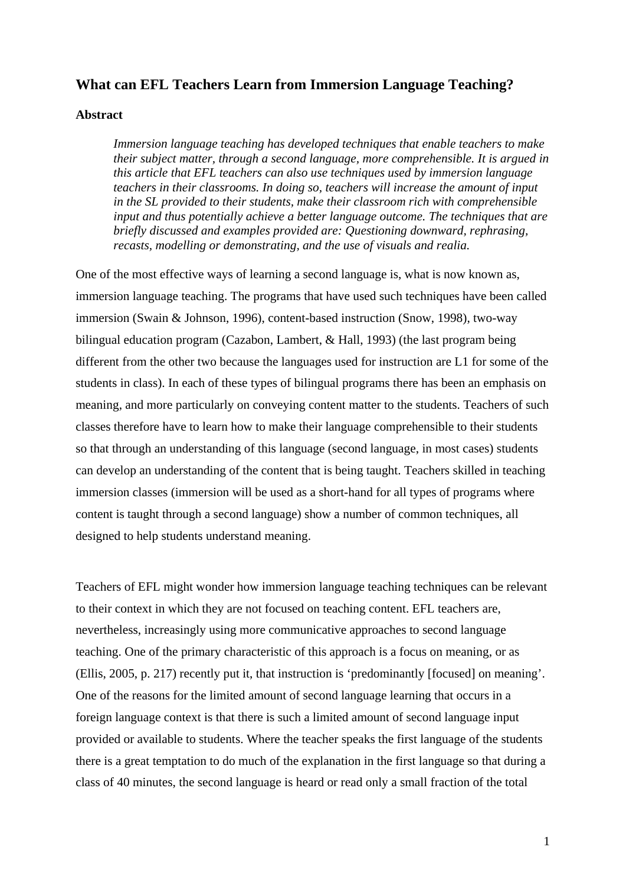## **What can EFL Teachers Learn from Immersion Language Teaching?**

#### **Abstract**

*Immersion language teaching has developed techniques that enable teachers to make their subject matter, through a second language, more comprehensible. It is argued in this article that EFL teachers can also use techniques used by immersion language teachers in their classrooms. In doing so, teachers will increase the amount of input in the SL provided to their students, make their classroom rich with comprehensible input and thus potentially achieve a better language outcome. The techniques that are briefly discussed and examples provided are: Questioning downward, rephrasing, recasts, modelling or demonstrating, and the use of visuals and realia.* 

One of the most effective ways of learning a second language is, what is now known as, immersion language teaching. The programs that have used such techniques have been called immersion (Swain & Johnson, 1996), content-based instruction (Snow, 1998), two-way bilingual education program (Cazabon, Lambert, & Hall, 1993) (the last program being different from the other two because the languages used for instruction are L1 for some of the students in class). In each of these types of bilingual programs there has been an emphasis on meaning, and more particularly on conveying content matter to the students. Teachers of such classes therefore have to learn how to make their language comprehensible to their students so that through an understanding of this language (second language, in most cases) students can develop an understanding of the content that is being taught. Teachers skilled in teaching immersion classes (immersion will be used as a short-hand for all types of programs where content is taught through a second language) show a number of common techniques, all designed to help students understand meaning.

Teachers of EFL might wonder how immersion language teaching techniques can be relevant to their context in which they are not focused on teaching content. EFL teachers are, nevertheless, increasingly using more communicative approaches to second language teaching. One of the primary characteristic of this approach is a focus on meaning, or as (Ellis, 2005, p. 217) recently put it, that instruction is 'predominantly [focused] on meaning'. One of the reasons for the limited amount of second language learning that occurs in a foreign language context is that there is such a limited amount of second language input provided or available to students. Where the teacher speaks the first language of the students there is a great temptation to do much of the explanation in the first language so that during a class of 40 minutes, the second language is heard or read only a small fraction of the total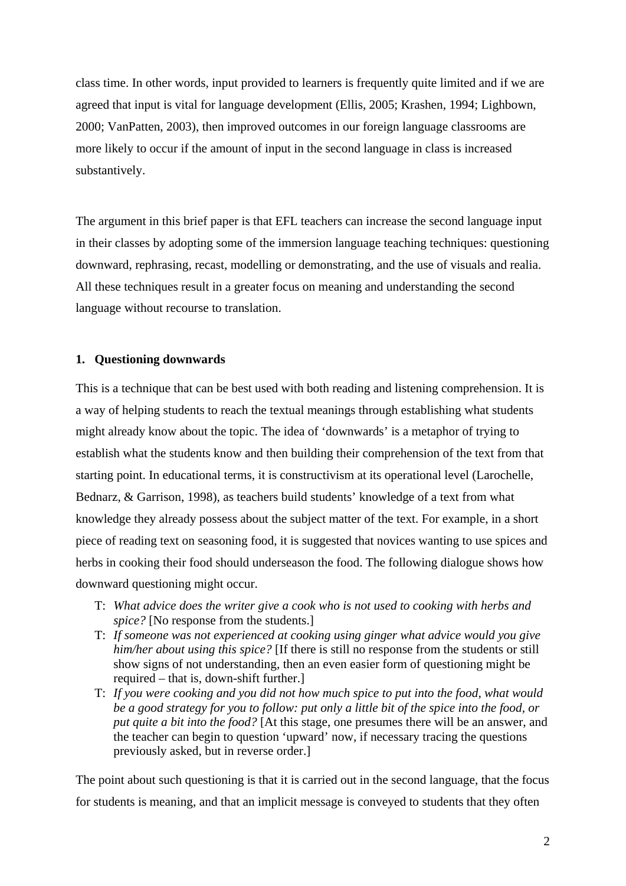class time. In other words, input provided to learners is frequently quite limited and if we are agreed that input is vital for language development (Ellis, 2005; Krashen, 1994; Lighbown, 2000; VanPatten, 2003), then improved outcomes in our foreign language classrooms are more likely to occur if the amount of input in the second language in class is increased substantively.

The argument in this brief paper is that EFL teachers can increase the second language input in their classes by adopting some of the immersion language teaching techniques: questioning downward, rephrasing, recast, modelling or demonstrating, and the use of visuals and realia. All these techniques result in a greater focus on meaning and understanding the second language without recourse to translation.

### **1. Questioning downwards**

This is a technique that can be best used with both reading and listening comprehension. It is a way of helping students to reach the textual meanings through establishing what students might already know about the topic. The idea of 'downwards' is a metaphor of trying to establish what the students know and then building their comprehension of the text from that starting point. In educational terms, it is constructivism at its operational level (Larochelle, Bednarz, & Garrison, 1998), as teachers build students' knowledge of a text from what knowledge they already possess about the subject matter of the text. For example, in a short piece of reading text on seasoning food, it is suggested that novices wanting to use spices and herbs in cooking their food should underseason the food. The following dialogue shows how downward questioning might occur.

- T: *What advice does the writer give a cook who is not used to cooking with herbs and spice?* [No response from the students.]
- T: *If someone was not experienced at cooking using ginger what advice would you give him/her about using this spice?* [If there is still no response from the students or still show signs of not understanding, then an even easier form of questioning might be required – that is, down-shift further.]
- T: *If you were cooking and you did not how much spice to put into the food, what would be a good strategy for you to follow: put only a little bit of the spice into the food, or put quite a bit into the food?* [At this stage, one presumes there will be an answer, and the teacher can begin to question 'upward' now, if necessary tracing the questions previously asked, but in reverse order.]

The point about such questioning is that it is carried out in the second language, that the focus for students is meaning, and that an implicit message is conveyed to students that they often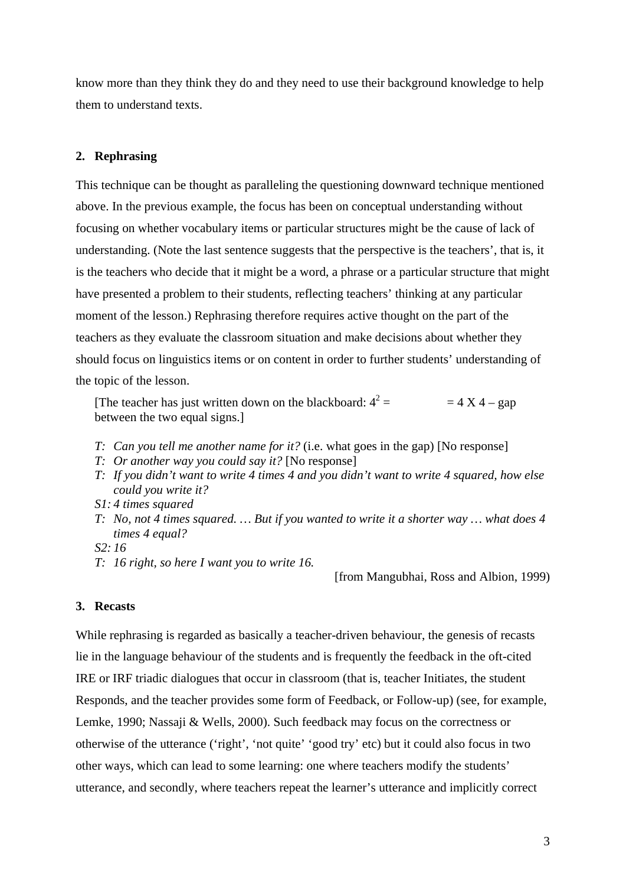know more than they think they do and they need to use their background knowledge to help them to understand texts.

#### **2. Rephrasing**

This technique can be thought as paralleling the questioning downward technique mentioned above. In the previous example, the focus has been on conceptual understanding without focusing on whether vocabulary items or particular structures might be the cause of lack of understanding. (Note the last sentence suggests that the perspective is the teachers', that is, it is the teachers who decide that it might be a word, a phrase or a particular structure that might have presented a problem to their students, reflecting teachers' thinking at any particular moment of the lesson.) Rephrasing therefore requires active thought on the part of the teachers as they evaluate the classroom situation and make decisions about whether they should focus on linguistics items or on content in order to further students' understanding of the topic of the lesson.

[The teacher has just written down on the blackboard:  $4^2 =$  = 4 X 4 – gap between the two equal signs.]

- *T: Can you tell me another name for it?* (i.e. what goes in the gap) [No response]
- *T: Or another way you could say it?* [No response]
- *T: If you didn't want to write 4 times 4 and you didn't want to write 4 squared, how else could you write it?*
- *S1: 4 times squared*
- *T: No, not 4 times squared. … But if you wanted to write it a shorter way … what does 4 times 4 equal?*
- *S2: 16*
- *T: 16 right, so here I want you to write 16.*

[from Mangubhai, Ross and Albion, 1999)

### **3. Recasts**

While rephrasing is regarded as basically a teacher-driven behaviour, the genesis of recasts lie in the language behaviour of the students and is frequently the feedback in the oft-cited IRE or IRF triadic dialogues that occur in classroom (that is, teacher Initiates, the student Responds, and the teacher provides some form of Feedback, or Follow-up) (see, for example, Lemke, 1990; Nassaji & Wells, 2000). Such feedback may focus on the correctness or otherwise of the utterance ('right', 'not quite' 'good try' etc) but it could also focus in two other ways, which can lead to some learning: one where teachers modify the students' utterance, and secondly, where teachers repeat the learner's utterance and implicitly correct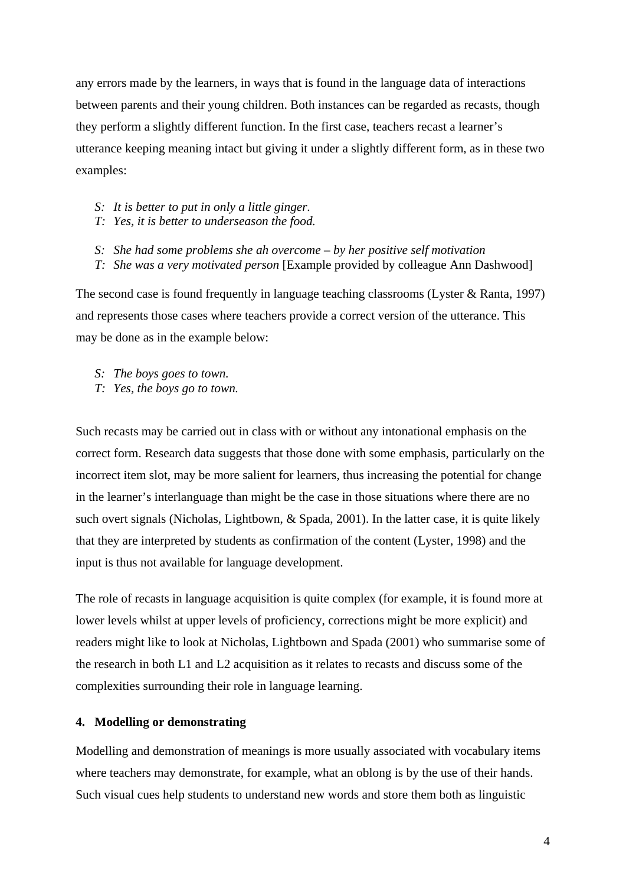any errors made by the learners, in ways that is found in the language data of interactions between parents and their young children. Both instances can be regarded as recasts, though they perform a slightly different function. In the first case, teachers recast a learner's utterance keeping meaning intact but giving it under a slightly different form, as in these two examples:

- *S: It is better to put in only a little ginger.*
- *T: Yes, it is better to underseason the food.*
- *S: She had some problems she ah overcome by her positive self motivation*
- *T: She was a very motivated person* [Example provided by colleague Ann Dashwood]

The second case is found frequently in language teaching classrooms (Lyster & Ranta, 1997) and represents those cases where teachers provide a correct version of the utterance. This may be done as in the example below:

- *S: The boys goes to town.*
- *T: Yes, the boys go to town.*

Such recasts may be carried out in class with or without any intonational emphasis on the correct form. Research data suggests that those done with some emphasis, particularly on the incorrect item slot, may be more salient for learners, thus increasing the potential for change in the learner's interlanguage than might be the case in those situations where there are no such overt signals (Nicholas, Lightbown, & Spada, 2001). In the latter case, it is quite likely that they are interpreted by students as confirmation of the content (Lyster, 1998) and the input is thus not available for language development.

The role of recasts in language acquisition is quite complex (for example, it is found more at lower levels whilst at upper levels of proficiency, corrections might be more explicit) and readers might like to look at Nicholas, Lightbown and Spada (2001) who summarise some of the research in both L1 and L2 acquisition as it relates to recasts and discuss some of the complexities surrounding their role in language learning.

### **4. Modelling or demonstrating**

Modelling and demonstration of meanings is more usually associated with vocabulary items where teachers may demonstrate, for example, what an oblong is by the use of their hands. Such visual cues help students to understand new words and store them both as linguistic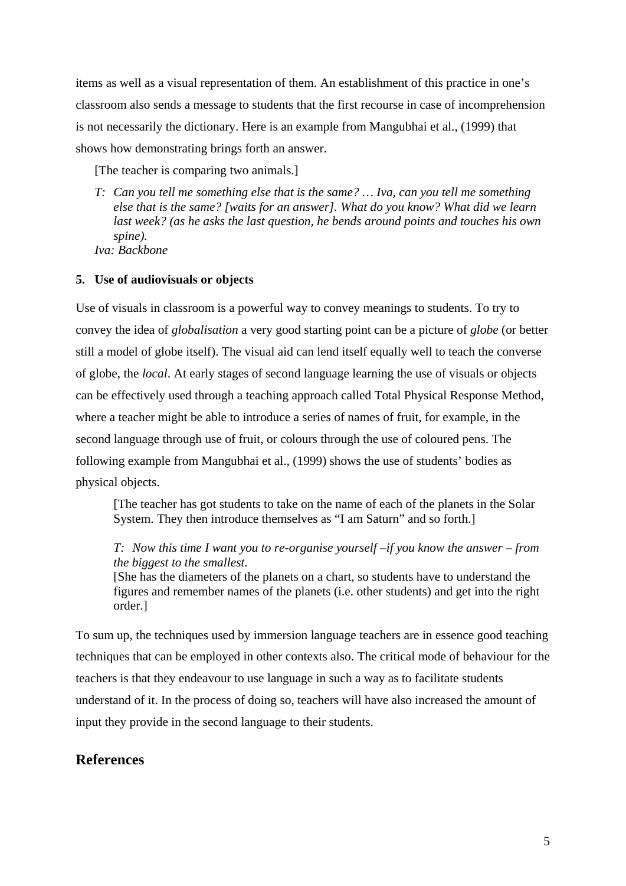items as well as a visual representation of them. An establishment of this practice in one's classroom also sends a message to students that the first recourse in case of incomprehension is not necessarily the dictionary. Here is an example from Mangubhai et al., (1999) that shows how demonstrating brings forth an answer.

[The teacher is comparing two animals.]

*T: Can you tell me something else that is the same? … Iva, can you tell me something else that is the same? [waits for an answer]. What do you know? What did we learn last week? (as he asks the last question, he bends around points and touches his own spine). Iva: Backbone* 

**5. Use of audiovisuals or objects** 

Use of visuals in classroom is a powerful way to convey meanings to students. To try to convey the idea of *globalisation* a very good starting point can be a picture of *globe* (or better still a model of globe itself). The visual aid can lend itself equally well to teach the converse of globe, the *local*. At early stages of second language learning the use of visuals or objects can be effectively used through a teaching approach called Total Physical Response Method, where a teacher might be able to introduce a series of names of fruit, for example, in the second language through use of fruit, or colours through the use of coloured pens. The following example from Mangubhai et al., (1999) shows the use of students' bodies as physical objects.

[The teacher has got students to take on the name of each of the planets in the Solar System. They then introduce themselves as "I am Saturn" and so forth.]

*T: Now this time I want you to re-organise yourself –if you know the answer – from the biggest to the smallest.* 

[She has the diameters of the planets on a chart, so students have to understand the figures and remember names of the planets (i.e. other students) and get into the right order.]

To sum up, the techniques used by immersion language teachers are in essence good teaching techniques that can be employed in other contexts also. The critical mode of behaviour for the teachers is that they endeavour to use language in such a way as to facilitate students understand of it. In the process of doing so, teachers will have also increased the amount of input they provide in the second language to their students.

# **References**